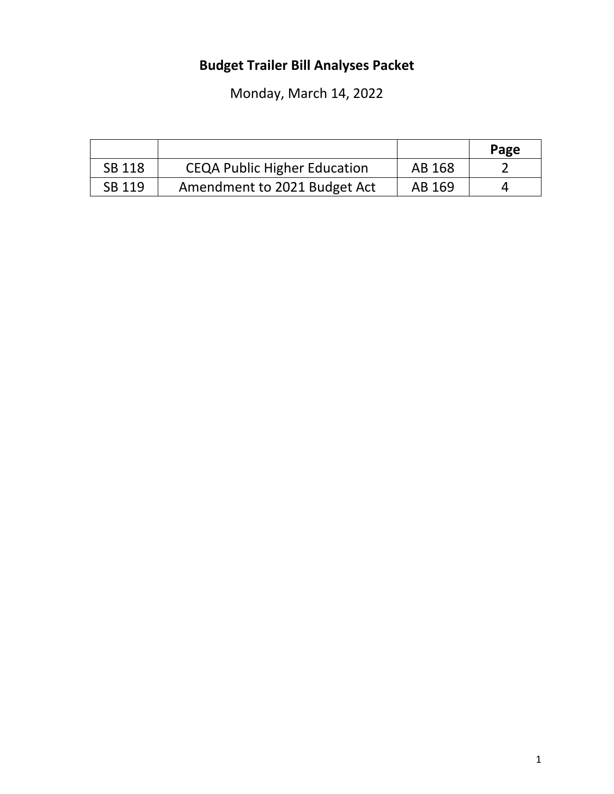# **Budget Trailer Bill Analyses Packet**

Monday, March 14, 2022

|               |                                     |        | Page |
|---------------|-------------------------------------|--------|------|
| <b>SB 118</b> | <b>CEQA Public Higher Education</b> | AB 168 |      |
| SB 119        | Amendment to 2021 Budget Act        | AB 169 |      |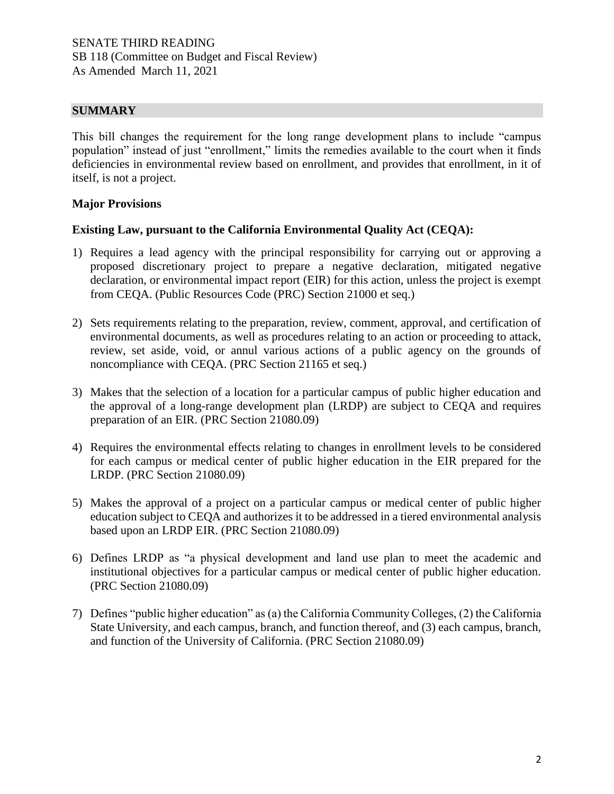## **SUMMARY**

This bill changes the requirement for the long range development plans to include "campus population" instead of just "enrollment," limits the remedies available to the court when it finds deficiencies in environmental review based on enrollment, and provides that enrollment, in it of itself, is not a project.

## **Major Provisions**

## **Existing Law, pursuant to the California Environmental Quality Act (CEQA):**

- 1) Requires a lead agency with the principal responsibility for carrying out or approving a proposed discretionary project to prepare a negative declaration, mitigated negative declaration, or environmental impact report (EIR) for this action, unless the project is exempt from CEQA. (Public Resources Code (PRC) Section 21000 et seq.)
- 2) Sets requirements relating to the preparation, review, comment, approval, and certification of environmental documents, as well as procedures relating to an action or proceeding to attack, review, set aside, void, or annul various actions of a public agency on the grounds of noncompliance with CEQA. (PRC Section 21165 et seq.)
- 3) Makes that the selection of a location for a particular campus of public higher education and the approval of a long-range development plan (LRDP) are subject to CEQA and requires preparation of an EIR. (PRC Section 21080.09)
- 4) Requires the environmental effects relating to changes in enrollment levels to be considered for each campus or medical center of public higher education in the EIR prepared for the LRDP. (PRC Section 21080.09)
- 5) Makes the approval of a project on a particular campus or medical center of public higher education subject to CEQA and authorizes it to be addressed in a tiered environmental analysis based upon an LRDP EIR. (PRC Section 21080.09)
- 6) Defines LRDP as "a physical development and land use plan to meet the academic and institutional objectives for a particular campus or medical center of public higher education. (PRC Section 21080.09)
- 7) Defines "public higher education" as (a) the California Community Colleges, (2) the California State University, and each campus, branch, and function thereof, and (3) each campus, branch, and function of the University of California. (PRC Section 21080.09)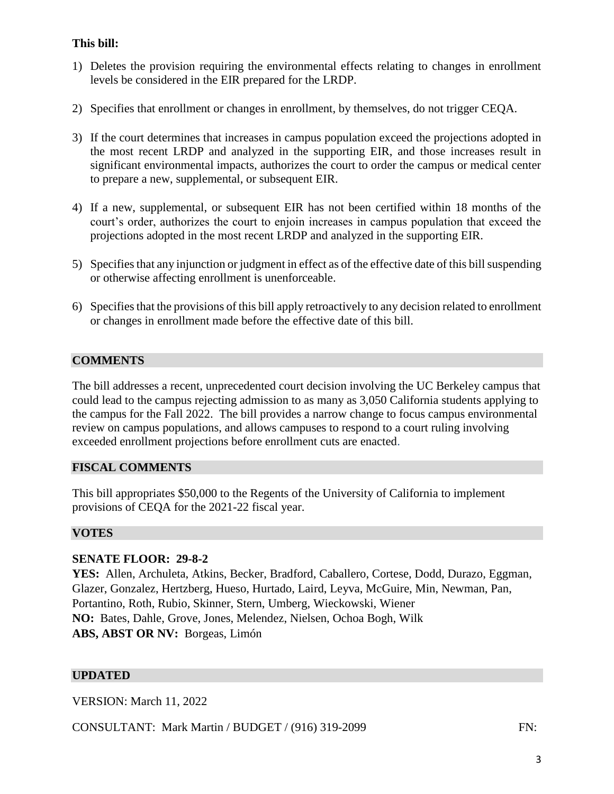## **This bill:**

- 1) Deletes the provision requiring the environmental effects relating to changes in enrollment levels be considered in the EIR prepared for the LRDP.
- 2) Specifies that enrollment or changes in enrollment, by themselves, do not trigger CEQA.
- 3) If the court determines that increases in campus population exceed the projections adopted in the most recent LRDP and analyzed in the supporting EIR, and those increases result in significant environmental impacts, authorizes the court to order the campus or medical center to prepare a new, supplemental, or subsequent EIR.
- 4) If a new, supplemental, or subsequent EIR has not been certified within 18 months of the court's order, authorizes the court to enjoin increases in campus population that exceed the projections adopted in the most recent LRDP and analyzed in the supporting EIR.
- 5) Specifies that any injunction or judgment in effect as of the effective date of this bill suspending or otherwise affecting enrollment is unenforceable.
- 6) Specifies that the provisions of this bill apply retroactively to any decision related to enrollment or changes in enrollment made before the effective date of this bill.

## **COMMENTS**

The bill addresses a recent, unprecedented court decision involving the UC Berkeley campus that could lead to the campus rejecting admission to as many as 3,050 California students applying to the campus for the Fall 2022. The bill provides a narrow change to focus campus environmental review on campus populations, and allows campuses to respond to a court ruling involving exceeded enrollment projections before enrollment cuts are enacted.

## **FISCAL COMMENTS**

This bill appropriates \$50,000 to the Regents of the University of California to implement provisions of CEQA for the 2021-22 fiscal year.

#### **VOTES**

## **SENATE FLOOR: 29-8-2**

**YES:** Allen, Archuleta, Atkins, Becker, Bradford, Caballero, Cortese, Dodd, Durazo, Eggman, Glazer, Gonzalez, Hertzberg, Hueso, Hurtado, Laird, Leyva, McGuire, Min, Newman, Pan, Portantino, Roth, Rubio, Skinner, Stern, Umberg, Wieckowski, Wiener **NO:** Bates, Dahle, Grove, Jones, Melendez, Nielsen, Ochoa Bogh, Wilk **ABS, ABST OR NV:** Borgeas, Limón

## **UPDATED**

VERSION: March 11, 2022

CONSULTANT: Mark Martin / BUDGET / (916) 319-2099 FN: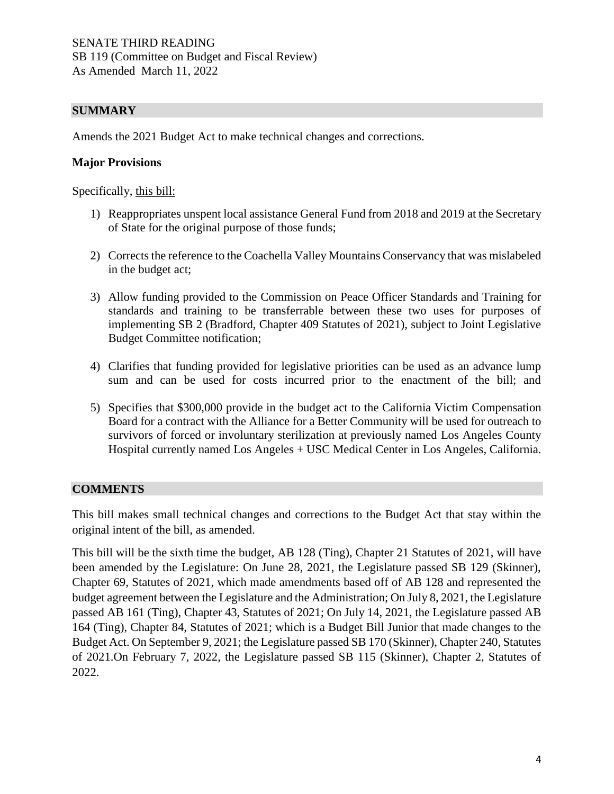## **SUMMARY**

Amends the 2021 Budget Act to make technical changes and corrections.

#### **Major Provisions**

Specifically, this bill:

- 1) Reappropriates unspent local assistance General Fund from 2018 and 2019 at the Secretary of State for the original purpose of those funds;
- 2) Corrects the reference to the Coachella Valley Mountains Conservancy that was mislabeled in the budget act;
- 3) Allow funding provided to the Commission on Peace Officer Standards and Training for standards and training to be transferrable between these two uses for purposes of implementing SB 2 (Bradford, Chapter 409 Statutes of 2021), subject to Joint Legislative Budget Committee notification;
- 4) Clarifies that funding provided for legislative priorities can be used as an advance lump sum and can be used for costs incurred prior to the enactment of the bill; and
- 5) Specifies that \$300,000 provide in the budget act to the California Victim Compensation Board for a contract with the Alliance for a Better Community will be used for outreach to survivors of forced or involuntary sterilization at previously named Los Angeles County Hospital currently named Los Angeles + USC Medical Center in Los Angeles, California.

#### **COMMENTS**

This bill makes small technical changes and corrections to the Budget Act that stay within the original intent of the bill, as amended.

This bill will be the sixth time the budget, AB 128 (Ting), Chapter 21 Statutes of 2021, will have been amended by the Legislature: On June 28, 2021, the Legislature passed SB 129 (Skinner), Chapter 69, Statutes of 2021, which made amendments based off of AB 128 and represented the budget agreement between the Legislature and the Administration; On July 8, 2021, the Legislature passed AB 161 (Ting), Chapter 43, Statutes of 2021; On July 14, 2021, the Legislature passed AB 164 (Ting), Chapter 84, Statutes of 2021; which is a Budget Bill Junior that made changes to the Budget Act. On September 9, 2021; the Legislature passed SB 170 (Skinner), Chapter 240, Statutes of 2021.On February 7, 2022, the Legislature passed SB 115 (Skinner), Chapter 2, Statutes of 2022.